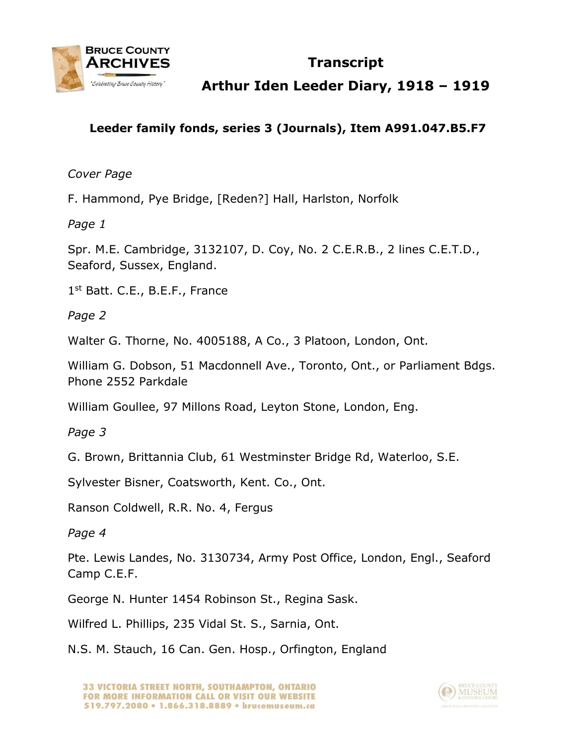

# **Transcript**

# **Arthur Iden Leeder Diary, 1918 – 1919**

## **Leeder family fonds, series 3 (Journals), Item A991.047.B5.F7**

### *Cover Page*

F. Hammond, Pye Bridge, [Reden?] Hall, Harlston, Norfolk

*Page 1*

Spr. M.E. Cambridge, 3132107, D. Coy, No. 2 C.E.R.B., 2 lines C.E.T.D., Seaford, Sussex, England.

1<sup>st</sup> Batt. C.E., B.E.F., France

*Page 2*

Walter G. Thorne, No. 4005188, A Co., 3 Platoon, London, Ont.

William G. Dobson, 51 Macdonnell Ave., Toronto, Ont., or Parliament Bdgs. Phone 2552 Parkdale

William Goullee, 97 Millons Road, Leyton Stone, London, Eng.

*Page 3*

G. Brown, Brittannia Club, 61 Westminster Bridge Rd, Waterloo, S.E.

Sylvester Bisner, Coatsworth, Kent. Co., Ont.

Ranson Coldwell, R.R. No. 4, Fergus

*Page 4*

Pte. Lewis Landes, No. 3130734, Army Post Office, London, Engl., Seaford Camp C.E.F.

George N. Hunter 1454 Robinson St., Regina Sask.

Wilfred L. Phillips, 235 Vidal St. S., Sarnia, Ont.

N.S. M. Stauch, 16 Can. Gen. Hosp., Orfington, England

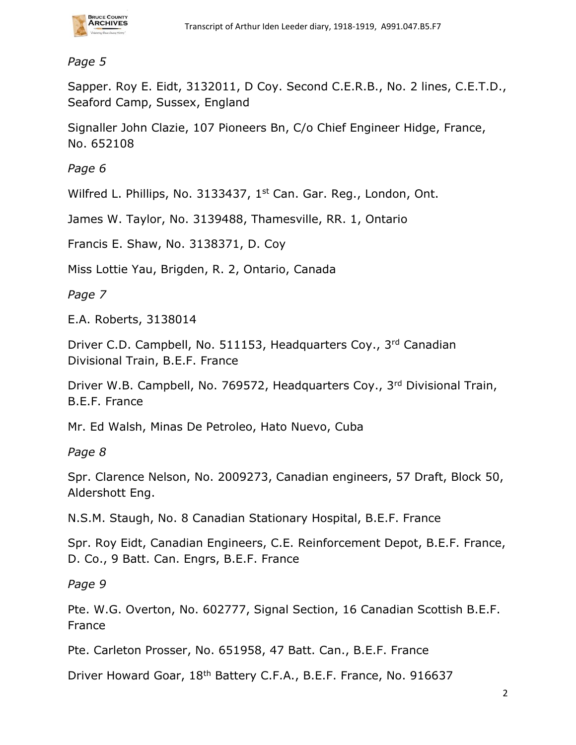

### *Page 5*

Sapper. Roy E. Eidt, 3132011, D Coy. Second C.E.R.B., No. 2 lines, C.E.T.D., Seaford Camp, Sussex, England

Signaller John Clazie, 107 Pioneers Bn, C/o Chief Engineer Hidge, France, No. 652108

*Page 6*

Wilfred L. Phillips, No. 3133437, 1st Can. Gar. Reg., London, Ont.

James W. Taylor, No. 3139488, Thamesville, RR. 1, Ontario

Francis E. Shaw, No. 3138371, D. Coy

Miss Lottie Yau, Brigden, R. 2, Ontario, Canada

*Page 7*

E.A. Roberts, 3138014

Driver C.D. Campbell, No. 511153, Headquarters Coy., 3rd Canadian Divisional Train, B.E.F. France

Driver W.B. Campbell, No. 769572, Headquarters Coy., 3rd Divisional Train, B.E.F. France

Mr. Ed Walsh, Minas De Petroleo, Hato Nuevo, Cuba

*Page 8*

Spr. Clarence Nelson, No. 2009273, Canadian engineers, 57 Draft, Block 50, Aldershott Eng.

N.S.M. Staugh, No. 8 Canadian Stationary Hospital, B.E.F. France

Spr. Roy Eidt, Canadian Engineers, C.E. Reinforcement Depot, B.E.F. France, D. Co., 9 Batt. Can. Engrs, B.E.F. France

*Page 9*

Pte. W.G. Overton, No. 602777, Signal Section, 16 Canadian Scottish B.E.F. France

Pte. Carleton Prosser, No. 651958, 47 Batt. Can., B.E.F. France

Driver Howard Goar, 18<sup>th</sup> Battery C.F.A., B.E.F. France, No. 916637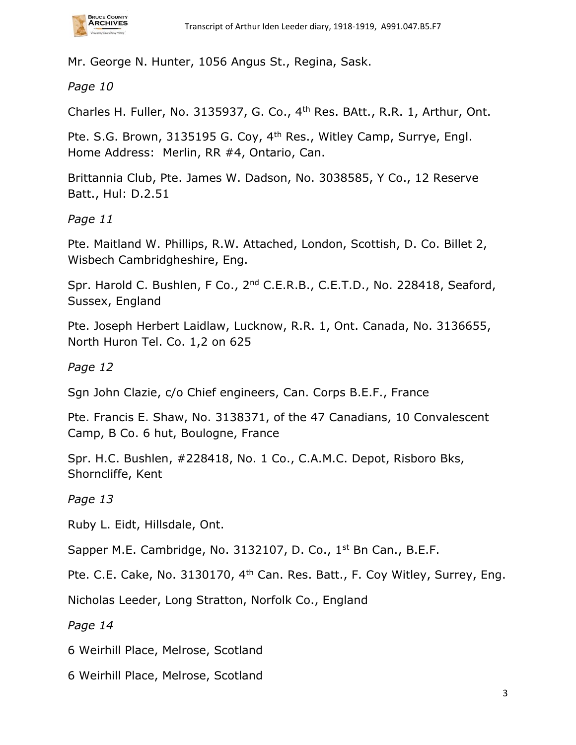

Mr. George N. Hunter, 1056 Angus St., Regina, Sask.

### *Page 10*

Charles H. Fuller, No. 3135937, G. Co., 4<sup>th</sup> Res. BAtt., R.R. 1, Arthur, Ont.

Pte. S.G. Brown, 3135195 G. Coy, 4<sup>th</sup> Res., Witley Camp, Surrye, Engl. Home Address: Merlin, RR #4, Ontario, Can.

Brittannia Club, Pte. James W. Dadson, No. 3038585, Y Co., 12 Reserve Batt., Hul: D.2.51

*Page 11*

Pte. Maitland W. Phillips, R.W. Attached, London, Scottish, D. Co. Billet 2, Wisbech Cambridgheshire, Eng.

Spr. Harold C. Bushlen, F Co., 2<sup>nd</sup> C.E.R.B., C.E.T.D., No. 228418, Seaford, Sussex, England

Pte. Joseph Herbert Laidlaw, Lucknow, R.R. 1, Ont. Canada, No. 3136655, North Huron Tel. Co. 1,2 on 625

*Page 12*

Sgn John Clazie, c/o Chief engineers, Can. Corps B.E.F., France

Pte. Francis E. Shaw, No. 3138371, of the 47 Canadians, 10 Convalescent Camp, B Co. 6 hut, Boulogne, France

Spr. H.C. Bushlen, #228418, No. 1 Co., C.A.M.C. Depot, Risboro Bks, Shorncliffe, Kent

*Page 13*

Ruby L. Eidt, Hillsdale, Ont.

Sapper M.E. Cambridge, No. 3132107, D. Co., 1<sup>st</sup> Bn Can., B.E.F.

Pte. C.E. Cake, No. 3130170, 4<sup>th</sup> Can. Res. Batt., F. Coy Witley, Surrey, Eng.

Nicholas Leeder, Long Stratton, Norfolk Co., England

*Page 14*

6 Weirhill Place, Melrose, Scotland

6 Weirhill Place, Melrose, Scotland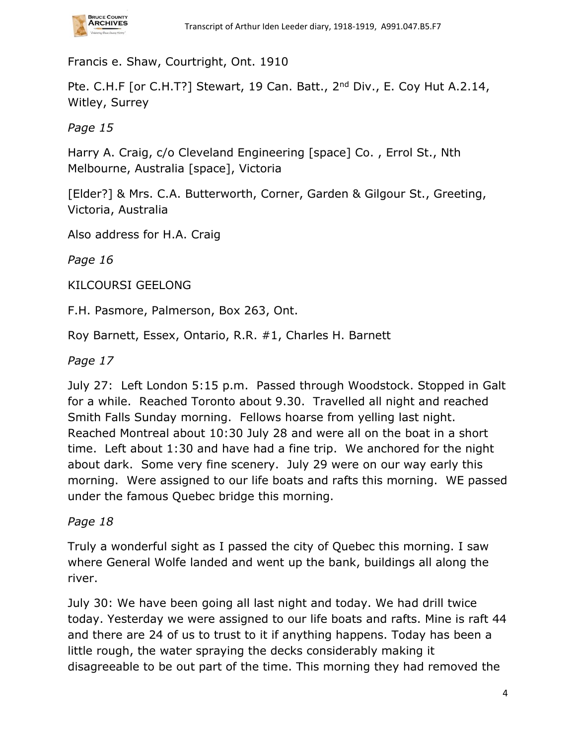Francis e. Shaw, Courtright, Ont. 1910

Pte. C.H.F [or C.H.T?] Stewart, 19 Can. Batt., 2<sup>nd</sup> Div., E. Coy Hut A.2.14, Witley, Surrey

*Page 15*

Harry A. Craig, c/o Cleveland Engineering [space] Co. , Errol St., Nth Melbourne, Australia [space], Victoria

[Elder?] & Mrs. C.A. Butterworth, Corner, Garden & Gilgour St., Greeting, Victoria, Australia

Also address for H.A. Craig

*Page 16*

KILCOURSI GEELONG

F.H. Pasmore, Palmerson, Box 263, Ont.

Roy Barnett, Essex, Ontario, R.R. #1, Charles H. Barnett

*Page 17*

July 27: Left London 5:15 p.m. Passed through Woodstock. Stopped in Galt for a while. Reached Toronto about 9.30. Travelled all night and reached Smith Falls Sunday morning. Fellows hoarse from yelling last night. Reached Montreal about 10:30 July 28 and were all on the boat in a short time. Left about 1:30 and have had a fine trip. We anchored for the night about dark. Some very fine scenery. July 29 were on our way early this morning. Were assigned to our life boats and rafts this morning. WE passed under the famous Quebec bridge this morning.

*Page 18*

Truly a wonderful sight as I passed the city of Quebec this morning. I saw where General Wolfe landed and went up the bank, buildings all along the river.

July 30: We have been going all last night and today. We had drill twice today. Yesterday we were assigned to our life boats and rafts. Mine is raft 44 and there are 24 of us to trust to it if anything happens. Today has been a little rough, the water spraying the decks considerably making it disagreeable to be out part of the time. This morning they had removed the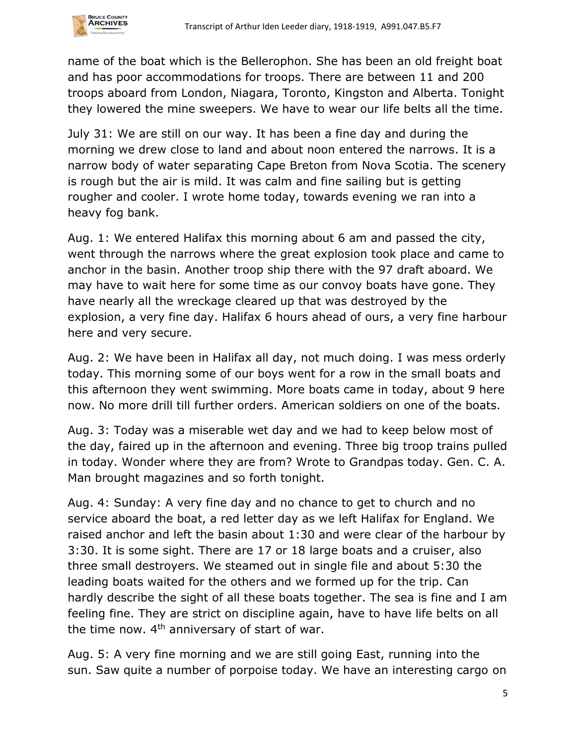

name of the boat which is the Bellerophon. She has been an old freight boat and has poor accommodations for troops. There are between 11 and 200 troops aboard from London, Niagara, Toronto, Kingston and Alberta. Tonight they lowered the mine sweepers. We have to wear our life belts all the time.

July 31: We are still on our way. It has been a fine day and during the morning we drew close to land and about noon entered the narrows. It is a narrow body of water separating Cape Breton from Nova Scotia. The scenery is rough but the air is mild. It was calm and fine sailing but is getting rougher and cooler. I wrote home today, towards evening we ran into a heavy fog bank.

Aug. 1: We entered Halifax this morning about 6 am and passed the city, went through the narrows where the great explosion took place and came to anchor in the basin. Another troop ship there with the 97 draft aboard. We may have to wait here for some time as our convoy boats have gone. They have nearly all the wreckage cleared up that was destroyed by the explosion, a very fine day. Halifax 6 hours ahead of ours, a very fine harbour here and very secure.

Aug. 2: We have been in Halifax all day, not much doing. I was mess orderly today. This morning some of our boys went for a row in the small boats and this afternoon they went swimming. More boats came in today, about 9 here now. No more drill till further orders. American soldiers on one of the boats.

Aug. 3: Today was a miserable wet day and we had to keep below most of the day, faired up in the afternoon and evening. Three big troop trains pulled in today. Wonder where they are from? Wrote to Grandpas today. Gen. C. A. Man brought magazines and so forth tonight.

Aug. 4: Sunday: A very fine day and no chance to get to church and no service aboard the boat, a red letter day as we left Halifax for England. We raised anchor and left the basin about 1:30 and were clear of the harbour by 3:30. It is some sight. There are 17 or 18 large boats and a cruiser, also three small destroyers. We steamed out in single file and about 5:30 the leading boats waited for the others and we formed up for the trip. Can hardly describe the sight of all these boats together. The sea is fine and I am feeling fine. They are strict on discipline again, have to have life belts on all the time now.  $4<sup>th</sup>$  anniversary of start of war.

Aug. 5: A very fine morning and we are still going East, running into the sun. Saw quite a number of porpoise today. We have an interesting cargo on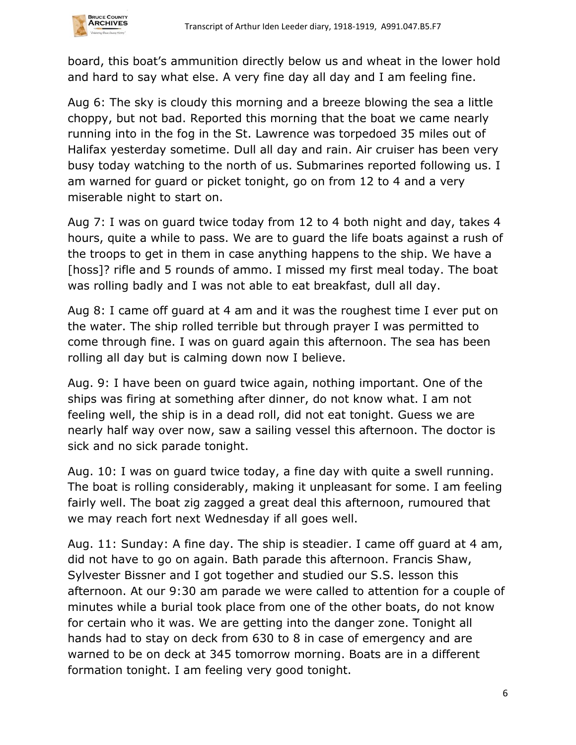

board, this boat's ammunition directly below us and wheat in the lower hold and hard to say what else. A very fine day all day and I am feeling fine.

Aug 6: The sky is cloudy this morning and a breeze blowing the sea a little choppy, but not bad. Reported this morning that the boat we came nearly running into in the fog in the St. Lawrence was torpedoed 35 miles out of Halifax yesterday sometime. Dull all day and rain. Air cruiser has been very busy today watching to the north of us. Submarines reported following us. I am warned for guard or picket tonight, go on from 12 to 4 and a very miserable night to start on.

Aug 7: I was on guard twice today from 12 to 4 both night and day, takes 4 hours, quite a while to pass. We are to guard the life boats against a rush of the troops to get in them in case anything happens to the ship. We have a [hoss]? rifle and 5 rounds of ammo. I missed my first meal today. The boat was rolling badly and I was not able to eat breakfast, dull all day.

Aug 8: I came off guard at 4 am and it was the roughest time I ever put on the water. The ship rolled terrible but through prayer I was permitted to come through fine. I was on guard again this afternoon. The sea has been rolling all day but is calming down now I believe.

Aug. 9: I have been on guard twice again, nothing important. One of the ships was firing at something after dinner, do not know what. I am not feeling well, the ship is in a dead roll, did not eat tonight. Guess we are nearly half way over now, saw a sailing vessel this afternoon. The doctor is sick and no sick parade tonight.

Aug. 10: I was on guard twice today, a fine day with quite a swell running. The boat is rolling considerably, making it unpleasant for some. I am feeling fairly well. The boat zig zagged a great deal this afternoon, rumoured that we may reach fort next Wednesday if all goes well.

Aug. 11: Sunday: A fine day. The ship is steadier. I came off guard at 4 am, did not have to go on again. Bath parade this afternoon. Francis Shaw, Sylvester Bissner and I got together and studied our S.S. lesson this afternoon. At our 9:30 am parade we were called to attention for a couple of minutes while a burial took place from one of the other boats, do not know for certain who it was. We are getting into the danger zone. Tonight all hands had to stay on deck from 630 to 8 in case of emergency and are warned to be on deck at 345 tomorrow morning. Boats are in a different formation tonight. I am feeling very good tonight.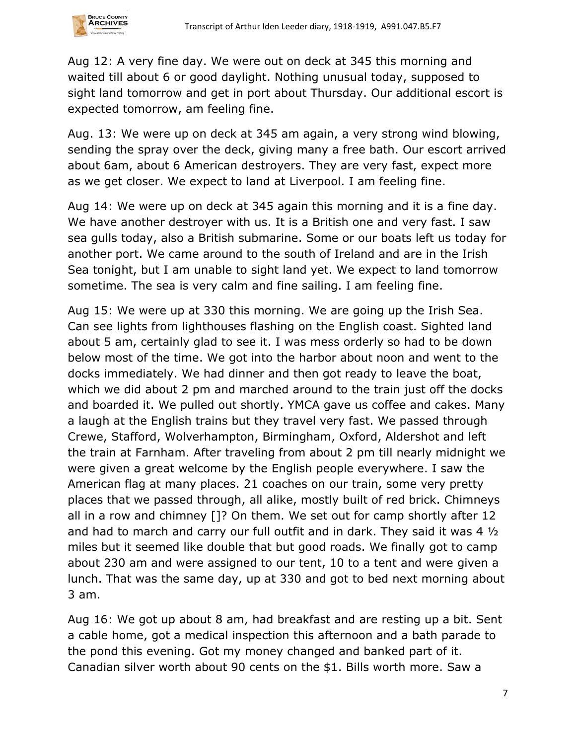

Aug 12: A very fine day. We were out on deck at 345 this morning and waited till about 6 or good daylight. Nothing unusual today, supposed to sight land tomorrow and get in port about Thursday. Our additional escort is expected tomorrow, am feeling fine.

Aug. 13: We were up on deck at 345 am again, a very strong wind blowing, sending the spray over the deck, giving many a free bath. Our escort arrived about 6am, about 6 American destroyers. They are very fast, expect more as we get closer. We expect to land at Liverpool. I am feeling fine.

Aug 14: We were up on deck at 345 again this morning and it is a fine day. We have another destroyer with us. It is a British one and very fast. I saw sea gulls today, also a British submarine. Some or our boats left us today for another port. We came around to the south of Ireland and are in the Irish Sea tonight, but I am unable to sight land yet. We expect to land tomorrow sometime. The sea is very calm and fine sailing. I am feeling fine.

Aug 15: We were up at 330 this morning. We are going up the Irish Sea. Can see lights from lighthouses flashing on the English coast. Sighted land about 5 am, certainly glad to see it. I was mess orderly so had to be down below most of the time. We got into the harbor about noon and went to the docks immediately. We had dinner and then got ready to leave the boat, which we did about 2 pm and marched around to the train just off the docks and boarded it. We pulled out shortly. YMCA gave us coffee and cakes. Many a laugh at the English trains but they travel very fast. We passed through Crewe, Stafford, Wolverhampton, Birmingham, Oxford, Aldershot and left the train at Farnham. After traveling from about 2 pm till nearly midnight we were given a great welcome by the English people everywhere. I saw the American flag at many places. 21 coaches on our train, some very pretty places that we passed through, all alike, mostly built of red brick. Chimneys all in a row and chimney []? On them. We set out for camp shortly after 12 and had to march and carry our full outfit and in dark. They said it was 4 ½ miles but it seemed like double that but good roads. We finally got to camp about 230 am and were assigned to our tent, 10 to a tent and were given a lunch. That was the same day, up at 330 and got to bed next morning about 3 am.

Aug 16: We got up about 8 am, had breakfast and are resting up a bit. Sent a cable home, got a medical inspection this afternoon and a bath parade to the pond this evening. Got my money changed and banked part of it. Canadian silver worth about 90 cents on the \$1. Bills worth more. Saw a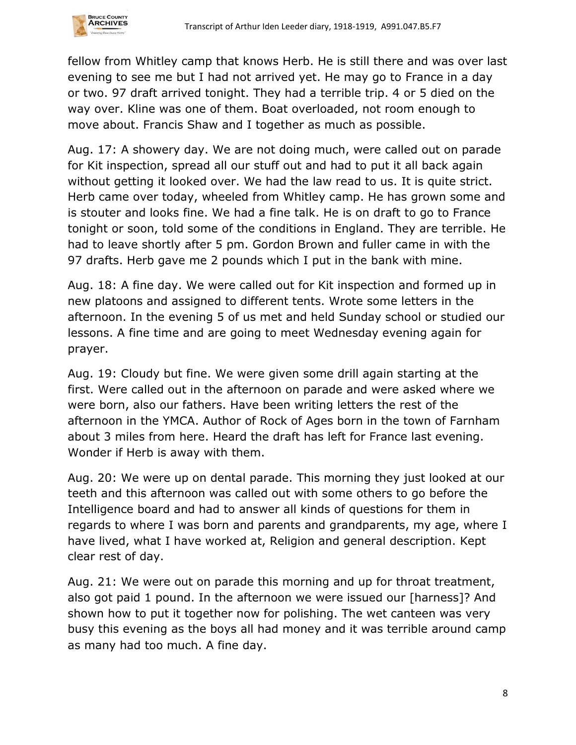

fellow from Whitley camp that knows Herb. He is still there and was over last evening to see me but I had not arrived yet. He may go to France in a day or two. 97 draft arrived tonight. They had a terrible trip. 4 or 5 died on the way over. Kline was one of them. Boat overloaded, not room enough to move about. Francis Shaw and I together as much as possible.

Aug. 17: A showery day. We are not doing much, were called out on parade for Kit inspection, spread all our stuff out and had to put it all back again without getting it looked over. We had the law read to us. It is quite strict. Herb came over today, wheeled from Whitley camp. He has grown some and is stouter and looks fine. We had a fine talk. He is on draft to go to France tonight or soon, told some of the conditions in England. They are terrible. He had to leave shortly after 5 pm. Gordon Brown and fuller came in with the 97 drafts. Herb gave me 2 pounds which I put in the bank with mine.

Aug. 18: A fine day. We were called out for Kit inspection and formed up in new platoons and assigned to different tents. Wrote some letters in the afternoon. In the evening 5 of us met and held Sunday school or studied our lessons. A fine time and are going to meet Wednesday evening again for prayer.

Aug. 19: Cloudy but fine. We were given some drill again starting at the first. Were called out in the afternoon on parade and were asked where we were born, also our fathers. Have been writing letters the rest of the afternoon in the YMCA. Author of Rock of Ages born in the town of Farnham about 3 miles from here. Heard the draft has left for France last evening. Wonder if Herb is away with them.

Aug. 20: We were up on dental parade. This morning they just looked at our teeth and this afternoon was called out with some others to go before the Intelligence board and had to answer all kinds of questions for them in regards to where I was born and parents and grandparents, my age, where I have lived, what I have worked at, Religion and general description. Kept clear rest of day.

Aug. 21: We were out on parade this morning and up for throat treatment, also got paid 1 pound. In the afternoon we were issued our [harness]? And shown how to put it together now for polishing. The wet canteen was very busy this evening as the boys all had money and it was terrible around camp as many had too much. A fine day.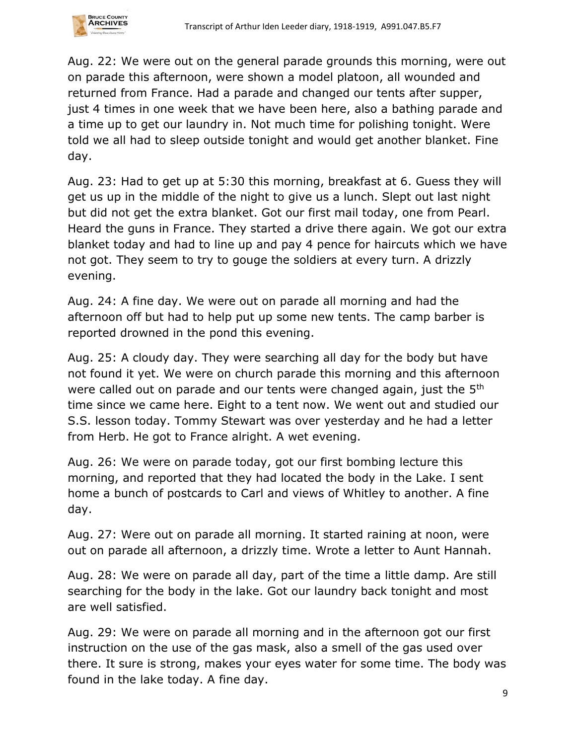

Aug. 22: We were out on the general parade grounds this morning, were out on parade this afternoon, were shown a model platoon, all wounded and returned from France. Had a parade and changed our tents after supper, just 4 times in one week that we have been here, also a bathing parade and a time up to get our laundry in. Not much time for polishing tonight. Were told we all had to sleep outside tonight and would get another blanket. Fine day.

Aug. 23: Had to get up at 5:30 this morning, breakfast at 6. Guess they will get us up in the middle of the night to give us a lunch. Slept out last night but did not get the extra blanket. Got our first mail today, one from Pearl. Heard the guns in France. They started a drive there again. We got our extra blanket today and had to line up and pay 4 pence for haircuts which we have not got. They seem to try to gouge the soldiers at every turn. A drizzly evening.

Aug. 24: A fine day. We were out on parade all morning and had the afternoon off but had to help put up some new tents. The camp barber is reported drowned in the pond this evening.

Aug. 25: A cloudy day. They were searching all day for the body but have not found it yet. We were on church parade this morning and this afternoon were called out on parade and our tents were changed again, just the 5<sup>th</sup> time since we came here. Eight to a tent now. We went out and studied our S.S. lesson today. Tommy Stewart was over yesterday and he had a letter from Herb. He got to France alright. A wet evening.

Aug. 26: We were on parade today, got our first bombing lecture this morning, and reported that they had located the body in the Lake. I sent home a bunch of postcards to Carl and views of Whitley to another. A fine day.

Aug. 27: Were out on parade all morning. It started raining at noon, were out on parade all afternoon, a drizzly time. Wrote a letter to Aunt Hannah.

Aug. 28: We were on parade all day, part of the time a little damp. Are still searching for the body in the lake. Got our laundry back tonight and most are well satisfied.

Aug. 29: We were on parade all morning and in the afternoon got our first instruction on the use of the gas mask, also a smell of the gas used over there. It sure is strong, makes your eyes water for some time. The body was found in the lake today. A fine day.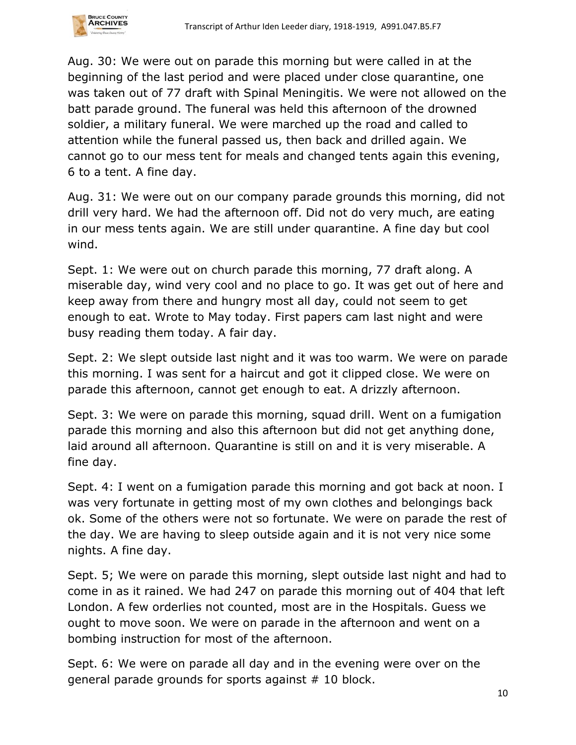

Aug. 30: We were out on parade this morning but were called in at the beginning of the last period and were placed under close quarantine, one was taken out of 77 draft with Spinal Meningitis. We were not allowed on the batt parade ground. The funeral was held this afternoon of the drowned soldier, a military funeral. We were marched up the road and called to attention while the funeral passed us, then back and drilled again. We cannot go to our mess tent for meals and changed tents again this evening, 6 to a tent. A fine day.

Aug. 31: We were out on our company parade grounds this morning, did not drill very hard. We had the afternoon off. Did not do very much, are eating in our mess tents again. We are still under quarantine. A fine day but cool wind.

Sept. 1: We were out on church parade this morning, 77 draft along. A miserable day, wind very cool and no place to go. It was get out of here and keep away from there and hungry most all day, could not seem to get enough to eat. Wrote to May today. First papers cam last night and were busy reading them today. A fair day.

Sept. 2: We slept outside last night and it was too warm. We were on parade this morning. I was sent for a haircut and got it clipped close. We were on parade this afternoon, cannot get enough to eat. A drizzly afternoon.

Sept. 3: We were on parade this morning, squad drill. Went on a fumigation parade this morning and also this afternoon but did not get anything done, laid around all afternoon. Quarantine is still on and it is very miserable. A fine day.

Sept. 4: I went on a fumigation parade this morning and got back at noon. I was very fortunate in getting most of my own clothes and belongings back ok. Some of the others were not so fortunate. We were on parade the rest of the day. We are having to sleep outside again and it is not very nice some nights. A fine day.

Sept. 5; We were on parade this morning, slept outside last night and had to come in as it rained. We had 247 on parade this morning out of 404 that left London. A few orderlies not counted, most are in the Hospitals. Guess we ought to move soon. We were on parade in the afternoon and went on a bombing instruction for most of the afternoon.

Sept. 6: We were on parade all day and in the evening were over on the general parade grounds for sports against # 10 block.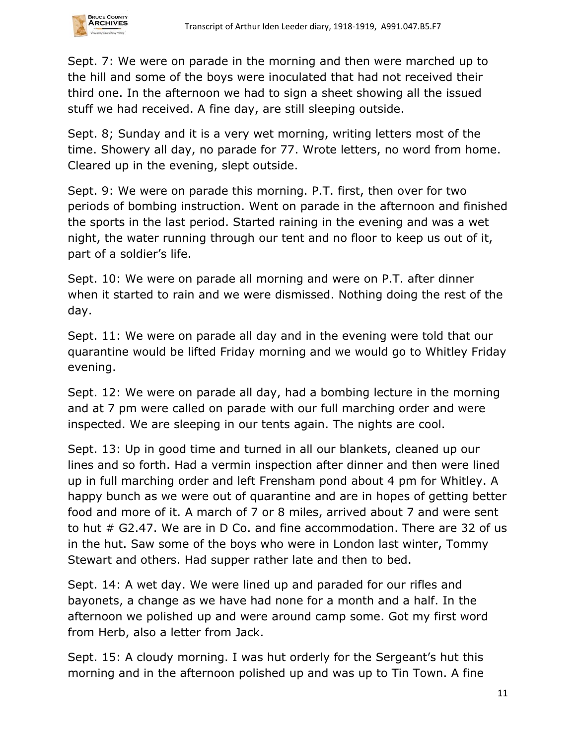

Sept. 7: We were on parade in the morning and then were marched up to the hill and some of the boys were inoculated that had not received their third one. In the afternoon we had to sign a sheet showing all the issued stuff we had received. A fine day, are still sleeping outside.

Sept. 8; Sunday and it is a very wet morning, writing letters most of the time. Showery all day, no parade for 77. Wrote letters, no word from home. Cleared up in the evening, slept outside.

Sept. 9: We were on parade this morning. P.T. first, then over for two periods of bombing instruction. Went on parade in the afternoon and finished the sports in the last period. Started raining in the evening and was a wet night, the water running through our tent and no floor to keep us out of it, part of a soldier's life.

Sept. 10: We were on parade all morning and were on P.T. after dinner when it started to rain and we were dismissed. Nothing doing the rest of the day.

Sept. 11: We were on parade all day and in the evening were told that our quarantine would be lifted Friday morning and we would go to Whitley Friday evening.

Sept. 12: We were on parade all day, had a bombing lecture in the morning and at 7 pm were called on parade with our full marching order and were inspected. We are sleeping in our tents again. The nights are cool.

Sept. 13: Up in good time and turned in all our blankets, cleaned up our lines and so forth. Had a vermin inspection after dinner and then were lined up in full marching order and left Frensham pond about 4 pm for Whitley. A happy bunch as we were out of quarantine and are in hopes of getting better food and more of it. A march of 7 or 8 miles, arrived about 7 and were sent to hut # G2.47. We are in D Co. and fine accommodation. There are 32 of us in the hut. Saw some of the boys who were in London last winter, Tommy Stewart and others. Had supper rather late and then to bed.

Sept. 14: A wet day. We were lined up and paraded for our rifles and bayonets, a change as we have had none for a month and a half. In the afternoon we polished up and were around camp some. Got my first word from Herb, also a letter from Jack.

Sept. 15: A cloudy morning. I was hut orderly for the Sergeant's hut this morning and in the afternoon polished up and was up to Tin Town. A fine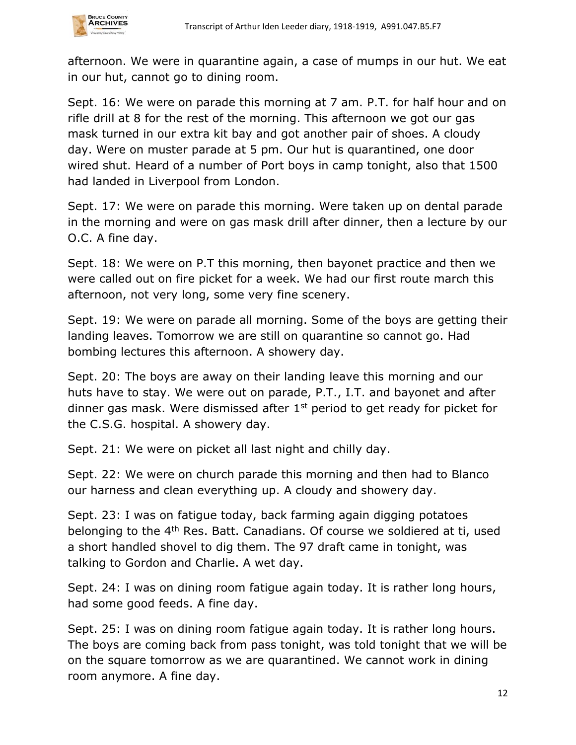

afternoon. We were in quarantine again, a case of mumps in our hut. We eat in our hut, cannot go to dining room.

Sept. 16: We were on parade this morning at 7 am. P.T. for half hour and on rifle drill at 8 for the rest of the morning. This afternoon we got our gas mask turned in our extra kit bay and got another pair of shoes. A cloudy day. Were on muster parade at 5 pm. Our hut is quarantined, one door wired shut. Heard of a number of Port boys in camp tonight, also that 1500 had landed in Liverpool from London.

Sept. 17: We were on parade this morning. Were taken up on dental parade in the morning and were on gas mask drill after dinner, then a lecture by our O.C. A fine day.

Sept. 18: We were on P.T this morning, then bayonet practice and then we were called out on fire picket for a week. We had our first route march this afternoon, not very long, some very fine scenery.

Sept. 19: We were on parade all morning. Some of the boys are getting their landing leaves. Tomorrow we are still on quarantine so cannot go. Had bombing lectures this afternoon. A showery day.

Sept. 20: The boys are away on their landing leave this morning and our huts have to stay. We were out on parade, P.T., I.T. and bayonet and after dinner gas mask. Were dismissed after  $1<sup>st</sup>$  period to get ready for picket for the C.S.G. hospital. A showery day.

Sept. 21: We were on picket all last night and chilly day.

Sept. 22: We were on church parade this morning and then had to Blanco our harness and clean everything up. A cloudy and showery day.

Sept. 23: I was on fatigue today, back farming again digging potatoes belonging to the 4th Res. Batt. Canadians. Of course we soldiered at ti, used a short handled shovel to dig them. The 97 draft came in tonight, was talking to Gordon and Charlie. A wet day.

Sept. 24: I was on dining room fatigue again today. It is rather long hours, had some good feeds. A fine day.

Sept. 25: I was on dining room fatigue again today. It is rather long hours. The boys are coming back from pass tonight, was told tonight that we will be on the square tomorrow as we are quarantined. We cannot work in dining room anymore. A fine day.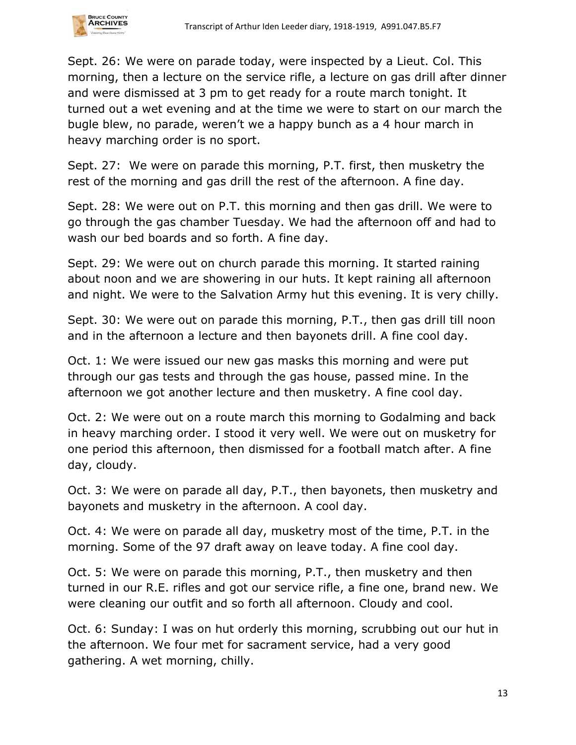

Sept. 26: We were on parade today, were inspected by a Lieut. Col. This morning, then a lecture on the service rifle, a lecture on gas drill after dinner and were dismissed at 3 pm to get ready for a route march tonight. It turned out a wet evening and at the time we were to start on our march the bugle blew, no parade, weren't we a happy bunch as a 4 hour march in heavy marching order is no sport.

Sept. 27: We were on parade this morning, P.T. first, then musketry the rest of the morning and gas drill the rest of the afternoon. A fine day.

Sept. 28: We were out on P.T. this morning and then gas drill. We were to go through the gas chamber Tuesday. We had the afternoon off and had to wash our bed boards and so forth. A fine day.

Sept. 29: We were out on church parade this morning. It started raining about noon and we are showering in our huts. It kept raining all afternoon and night. We were to the Salvation Army hut this evening. It is very chilly.

Sept. 30: We were out on parade this morning, P.T., then gas drill till noon and in the afternoon a lecture and then bayonets drill. A fine cool day.

Oct. 1: We were issued our new gas masks this morning and were put through our gas tests and through the gas house, passed mine. In the afternoon we got another lecture and then musketry. A fine cool day.

Oct. 2: We were out on a route march this morning to Godalming and back in heavy marching order. I stood it very well. We were out on musketry for one period this afternoon, then dismissed for a football match after. A fine day, cloudy.

Oct. 3: We were on parade all day, P.T., then bayonets, then musketry and bayonets and musketry in the afternoon. A cool day.

Oct. 4: We were on parade all day, musketry most of the time, P.T. in the morning. Some of the 97 draft away on leave today. A fine cool day.

Oct. 5: We were on parade this morning, P.T., then musketry and then turned in our R.E. rifles and got our service rifle, a fine one, brand new. We were cleaning our outfit and so forth all afternoon. Cloudy and cool.

Oct. 6: Sunday: I was on hut orderly this morning, scrubbing out our hut in the afternoon. We four met for sacrament service, had a very good gathering. A wet morning, chilly.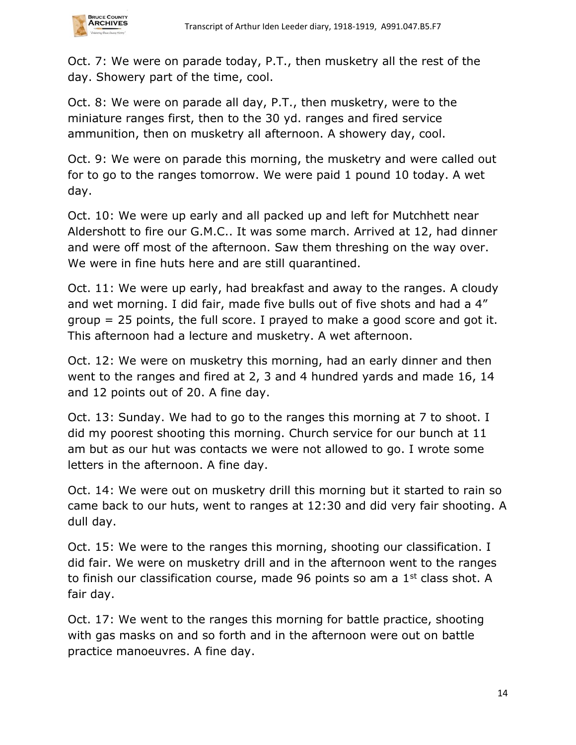

Oct. 7: We were on parade today, P.T., then musketry all the rest of the day. Showery part of the time, cool.

Oct. 8: We were on parade all day, P.T., then musketry, were to the miniature ranges first, then to the 30 yd. ranges and fired service ammunition, then on musketry all afternoon. A showery day, cool.

Oct. 9: We were on parade this morning, the musketry and were called out for to go to the ranges tomorrow. We were paid 1 pound 10 today. A wet day.

Oct. 10: We were up early and all packed up and left for Mutchhett near Aldershott to fire our G.M.C.. It was some march. Arrived at 12, had dinner and were off most of the afternoon. Saw them threshing on the way over. We were in fine huts here and are still quarantined.

Oct. 11: We were up early, had breakfast and away to the ranges. A cloudy and wet morning. I did fair, made five bulls out of five shots and had a 4" group = 25 points, the full score. I prayed to make a good score and got it. This afternoon had a lecture and musketry. A wet afternoon.

Oct. 12: We were on musketry this morning, had an early dinner and then went to the ranges and fired at 2, 3 and 4 hundred yards and made 16, 14 and 12 points out of 20. A fine day.

Oct. 13: Sunday. We had to go to the ranges this morning at 7 to shoot. I did my poorest shooting this morning. Church service for our bunch at 11 am but as our hut was contacts we were not allowed to go. I wrote some letters in the afternoon. A fine day.

Oct. 14: We were out on musketry drill this morning but it started to rain so came back to our huts, went to ranges at 12:30 and did very fair shooting. A dull day.

Oct. 15: We were to the ranges this morning, shooting our classification. I did fair. We were on musketry drill and in the afternoon went to the ranges to finish our classification course, made 96 points so am a  $1<sup>st</sup>$  class shot. A fair day.

Oct. 17: We went to the ranges this morning for battle practice, shooting with gas masks on and so forth and in the afternoon were out on battle practice manoeuvres. A fine day.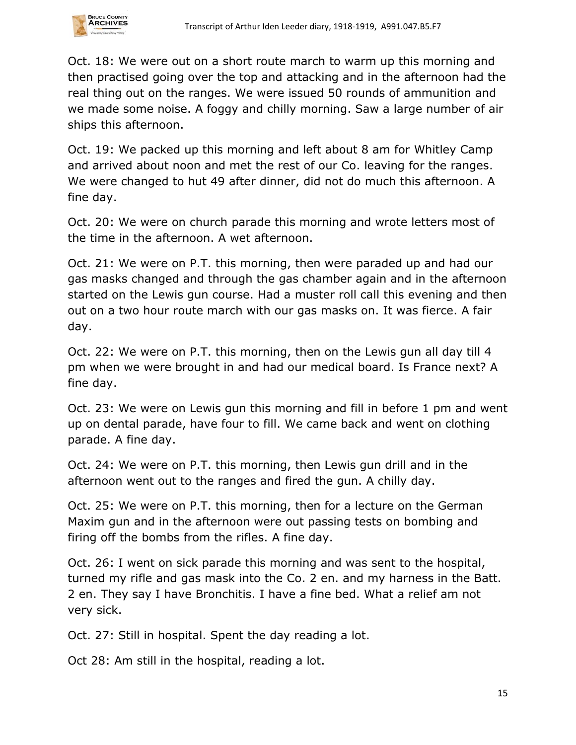

Oct. 18: We were out on a short route march to warm up this morning and then practised going over the top and attacking and in the afternoon had the real thing out on the ranges. We were issued 50 rounds of ammunition and we made some noise. A foggy and chilly morning. Saw a large number of air ships this afternoon.

Oct. 19: We packed up this morning and left about 8 am for Whitley Camp and arrived about noon and met the rest of our Co. leaving for the ranges. We were changed to hut 49 after dinner, did not do much this afternoon. A fine day.

Oct. 20: We were on church parade this morning and wrote letters most of the time in the afternoon. A wet afternoon.

Oct. 21: We were on P.T. this morning, then were paraded up and had our gas masks changed and through the gas chamber again and in the afternoon started on the Lewis gun course. Had a muster roll call this evening and then out on a two hour route march with our gas masks on. It was fierce. A fair day.

Oct. 22: We were on P.T. this morning, then on the Lewis gun all day till 4 pm when we were brought in and had our medical board. Is France next? A fine day.

Oct. 23: We were on Lewis gun this morning and fill in before 1 pm and went up on dental parade, have four to fill. We came back and went on clothing parade. A fine day.

Oct. 24: We were on P.T. this morning, then Lewis gun drill and in the afternoon went out to the ranges and fired the gun. A chilly day.

Oct. 25: We were on P.T. this morning, then for a lecture on the German Maxim gun and in the afternoon were out passing tests on bombing and firing off the bombs from the rifles. A fine day.

Oct. 26: I went on sick parade this morning and was sent to the hospital, turned my rifle and gas mask into the Co. 2 en. and my harness in the Batt. 2 en. They say I have Bronchitis. I have a fine bed. What a relief am not very sick.

Oct. 27: Still in hospital. Spent the day reading a lot.

Oct 28: Am still in the hospital, reading a lot.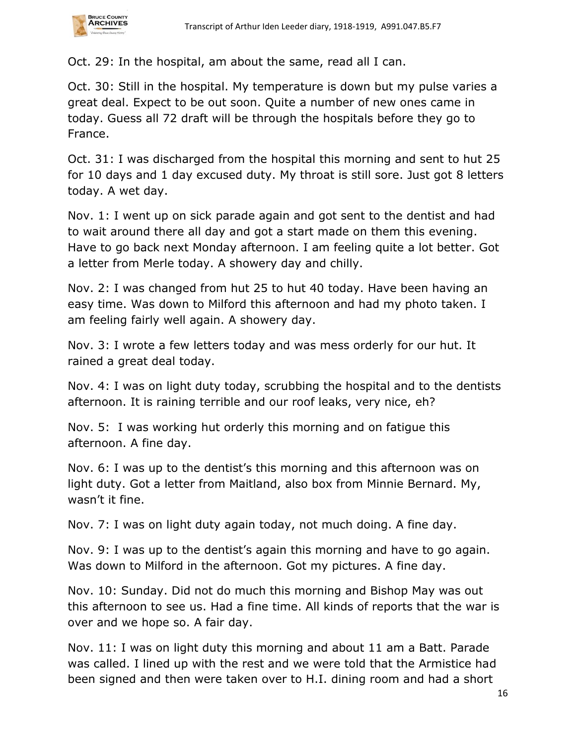

Oct. 29: In the hospital, am about the same, read all I can.

Oct. 30: Still in the hospital. My temperature is down but my pulse varies a great deal. Expect to be out soon. Quite a number of new ones came in today. Guess all 72 draft will be through the hospitals before they go to France.

Oct. 31: I was discharged from the hospital this morning and sent to hut 25 for 10 days and 1 day excused duty. My throat is still sore. Just got 8 letters today. A wet day.

Nov. 1: I went up on sick parade again and got sent to the dentist and had to wait around there all day and got a start made on them this evening. Have to go back next Monday afternoon. I am feeling quite a lot better. Got a letter from Merle today. A showery day and chilly.

Nov. 2: I was changed from hut 25 to hut 40 today. Have been having an easy time. Was down to Milford this afternoon and had my photo taken. I am feeling fairly well again. A showery day.

Nov. 3: I wrote a few letters today and was mess orderly for our hut. It rained a great deal today.

Nov. 4: I was on light duty today, scrubbing the hospital and to the dentists afternoon. It is raining terrible and our roof leaks, very nice, eh?

Nov. 5: I was working hut orderly this morning and on fatigue this afternoon. A fine day.

Nov. 6: I was up to the dentist's this morning and this afternoon was on light duty. Got a letter from Maitland, also box from Minnie Bernard. My, wasn't it fine.

Nov. 7: I was on light duty again today, not much doing. A fine day.

Nov. 9: I was up to the dentist's again this morning and have to go again. Was down to Milford in the afternoon. Got my pictures. A fine day.

Nov. 10: Sunday. Did not do much this morning and Bishop May was out this afternoon to see us. Had a fine time. All kinds of reports that the war is over and we hope so. A fair day.

Nov. 11: I was on light duty this morning and about 11 am a Batt. Parade was called. I lined up with the rest and we were told that the Armistice had been signed and then were taken over to H.I. dining room and had a short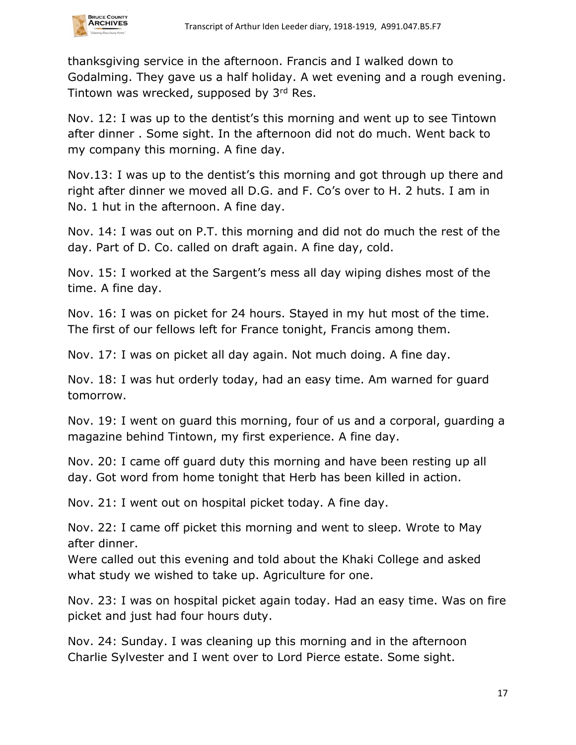

thanksgiving service in the afternoon. Francis and I walked down to Godalming. They gave us a half holiday. A wet evening and a rough evening. Tintown was wrecked, supposed by 3rd Res.

Nov. 12: I was up to the dentist's this morning and went up to see Tintown after dinner . Some sight. In the afternoon did not do much. Went back to my company this morning. A fine day.

Nov.13: I was up to the dentist's this morning and got through up there and right after dinner we moved all D.G. and F. Co's over to H. 2 huts. I am in No. 1 hut in the afternoon. A fine day.

Nov. 14: I was out on P.T. this morning and did not do much the rest of the day. Part of D. Co. called on draft again. A fine day, cold.

Nov. 15: I worked at the Sargent's mess all day wiping dishes most of the time. A fine day.

Nov. 16: I was on picket for 24 hours. Stayed in my hut most of the time. The first of our fellows left for France tonight, Francis among them.

Nov. 17: I was on picket all day again. Not much doing. A fine day.

Nov. 18: I was hut orderly today, had an easy time. Am warned for guard tomorrow.

Nov. 19: I went on guard this morning, four of us and a corporal, guarding a magazine behind Tintown, my first experience. A fine day.

Nov. 20: I came off guard duty this morning and have been resting up all day. Got word from home tonight that Herb has been killed in action.

Nov. 21: I went out on hospital picket today. A fine day.

Nov. 22: I came off picket this morning and went to sleep. Wrote to May after dinner.

Were called out this evening and told about the Khaki College and asked what study we wished to take up. Agriculture for one.

Nov. 23: I was on hospital picket again today. Had an easy time. Was on fire picket and just had four hours duty.

Nov. 24: Sunday. I was cleaning up this morning and in the afternoon Charlie Sylvester and I went over to Lord Pierce estate. Some sight.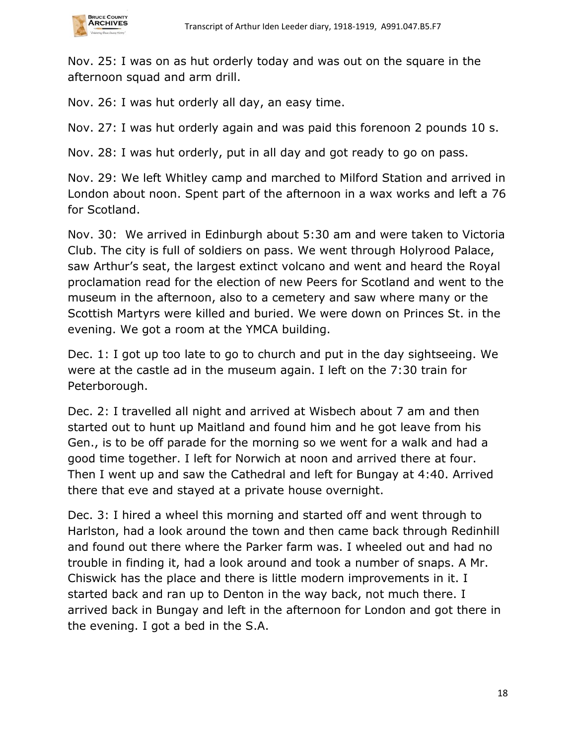

Nov. 25: I was on as hut orderly today and was out on the square in the afternoon squad and arm drill.

Nov. 26: I was hut orderly all day, an easy time.

Nov. 27: I was hut orderly again and was paid this forenoon 2 pounds 10 s.

Nov. 28: I was hut orderly, put in all day and got ready to go on pass.

Nov. 29: We left Whitley camp and marched to Milford Station and arrived in London about noon. Spent part of the afternoon in a wax works and left a 76 for Scotland.

Nov. 30: We arrived in Edinburgh about 5:30 am and were taken to Victoria Club. The city is full of soldiers on pass. We went through Holyrood Palace, saw Arthur's seat, the largest extinct volcano and went and heard the Royal proclamation read for the election of new Peers for Scotland and went to the museum in the afternoon, also to a cemetery and saw where many or the Scottish Martyrs were killed and buried. We were down on Princes St. in the evening. We got a room at the YMCA building.

Dec. 1: I got up too late to go to church and put in the day sightseeing. We were at the castle ad in the museum again. I left on the 7:30 train for Peterborough.

Dec. 2: I travelled all night and arrived at Wisbech about 7 am and then started out to hunt up Maitland and found him and he got leave from his Gen., is to be off parade for the morning so we went for a walk and had a good time together. I left for Norwich at noon and arrived there at four. Then I went up and saw the Cathedral and left for Bungay at 4:40. Arrived there that eve and stayed at a private house overnight.

Dec. 3: I hired a wheel this morning and started off and went through to Harlston, had a look around the town and then came back through Redinhill and found out there where the Parker farm was. I wheeled out and had no trouble in finding it, had a look around and took a number of snaps. A Mr. Chiswick has the place and there is little modern improvements in it. I started back and ran up to Denton in the way back, not much there. I arrived back in Bungay and left in the afternoon for London and got there in the evening. I got a bed in the S.A.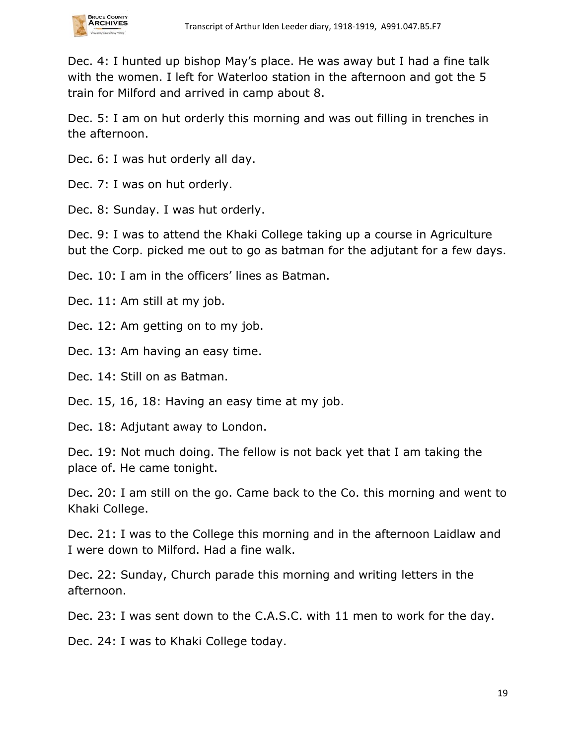Dec. 4: I hunted up bishop May's place. He was away but I had a fine talk with the women. I left for Waterloo station in the afternoon and got the 5 train for Milford and arrived in camp about 8.

Dec. 5: I am on hut orderly this morning and was out filling in trenches in the afternoon.

Dec. 6: I was hut orderly all day.

Dec. 7: I was on hut orderly.

Dec. 8: Sunday. I was hut orderly.

Dec. 9: I was to attend the Khaki College taking up a course in Agriculture but the Corp. picked me out to go as batman for the adjutant for a few days.

Dec. 10: I am in the officers' lines as Batman.

Dec. 11: Am still at my job.

Dec. 12: Am getting on to my job.

Dec. 13: Am having an easy time.

Dec. 14: Still on as Batman.

Dec. 15, 16, 18: Having an easy time at my job.

Dec. 18: Adjutant away to London.

Dec. 19: Not much doing. The fellow is not back yet that I am taking the place of. He came tonight.

Dec. 20: I am still on the go. Came back to the Co. this morning and went to Khaki College.

Dec. 21: I was to the College this morning and in the afternoon Laidlaw and I were down to Milford. Had a fine walk.

Dec. 22: Sunday, Church parade this morning and writing letters in the afternoon.

Dec. 23: I was sent down to the C.A.S.C. with 11 men to work for the day.

Dec. 24: I was to Khaki College today.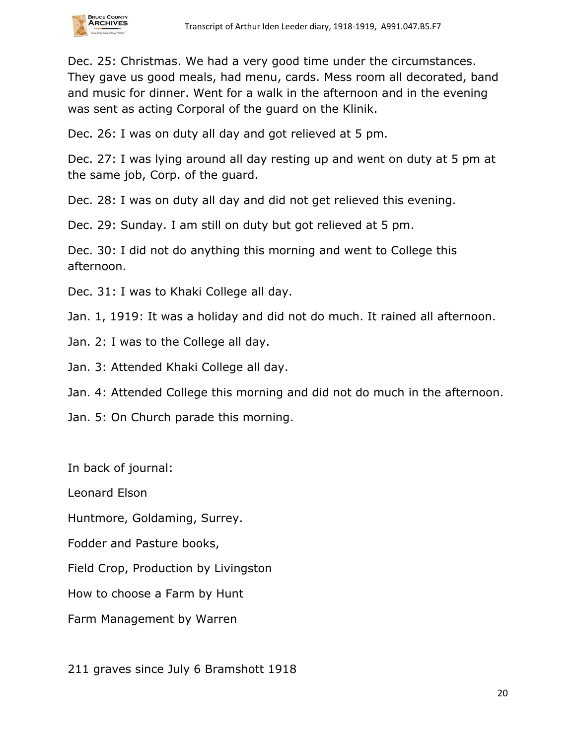

Dec. 25: Christmas. We had a very good time under the circumstances. They gave us good meals, had menu, cards. Mess room all decorated, band and music for dinner. Went for a walk in the afternoon and in the evening was sent as acting Corporal of the guard on the Klinik.

Dec. 26: I was on duty all day and got relieved at 5 pm.

Dec. 27: I was lying around all day resting up and went on duty at 5 pm at the same job, Corp. of the guard.

Dec. 28: I was on duty all day and did not get relieved this evening.

Dec. 29: Sunday. I am still on duty but got relieved at 5 pm.

Dec. 30: I did not do anything this morning and went to College this afternoon.

Dec. 31: I was to Khaki College all day.

Jan. 1, 1919: It was a holiday and did not do much. It rained all afternoon.

Jan. 2: I was to the College all day.

Jan. 3: Attended Khaki College all day.

Jan. 4: Attended College this morning and did not do much in the afternoon.

Jan. 5: On Church parade this morning.

In back of journal:

Leonard Elson

Huntmore, Goldaming, Surrey.

Fodder and Pasture books,

Field Crop, Production by Livingston

How to choose a Farm by Hunt

Farm Management by Warren

211 graves since July 6 Bramshott 1918